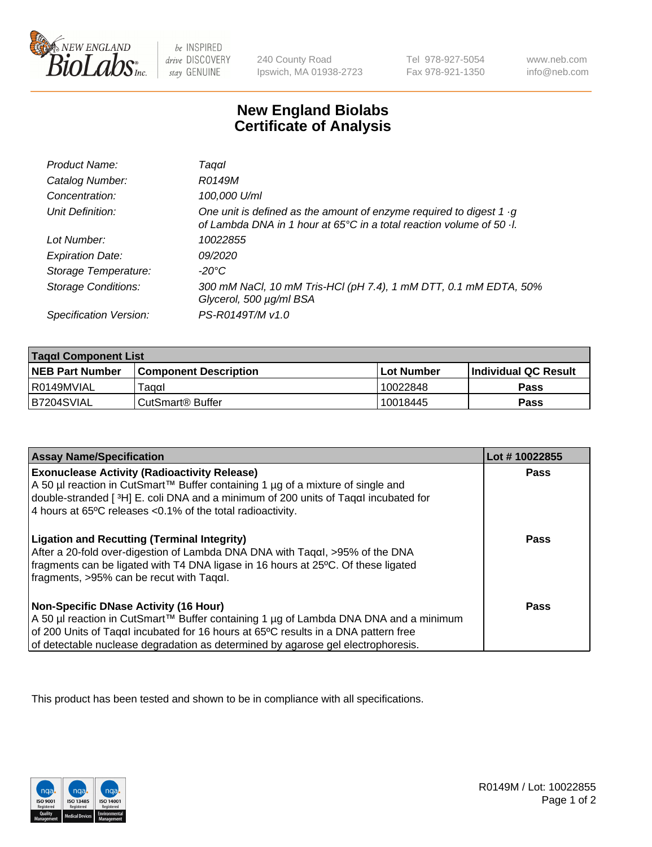

be INSPIRED drive DISCOVERY stay GENUINE

240 County Road Ipswich, MA 01938-2723 Tel 978-927-5054 Fax 978-921-1350 www.neb.com info@neb.com

## **New England Biolabs Certificate of Analysis**

| Product Name:              | Taqαl                                                                                                                                                     |
|----------------------------|-----------------------------------------------------------------------------------------------------------------------------------------------------------|
| Catalog Number:            | R0149M                                                                                                                                                    |
| Concentration:             | 100,000 U/ml                                                                                                                                              |
| Unit Definition:           | One unit is defined as the amount of enzyme required to digest 1 $\cdot$ g<br>of Lambda DNA in 1 hour at 65°C in a total reaction volume of 50 $\cdot$ l. |
| Lot Number:                | 10022855                                                                                                                                                  |
| <b>Expiration Date:</b>    | 09/2020                                                                                                                                                   |
| Storage Temperature:       | -20°C                                                                                                                                                     |
| <b>Storage Conditions:</b> | 300 mM NaCl, 10 mM Tris-HCl (pH 7.4), 1 mM DTT, 0.1 mM EDTA, 50%<br>Glycerol, 500 µg/ml BSA                                                               |
| Specification Version:     | PS-R0149T/M v1.0                                                                                                                                          |

| Tagαl Component List   |                              |            |                             |  |
|------------------------|------------------------------|------------|-----------------------------|--|
| <b>NEB Part Number</b> | <b>Component Description</b> | Lot Number | <b>Individual QC Result</b> |  |
| l R0149MVIAL           | ⊺aααI                        | 10022848   | Pass                        |  |
| IB7204SVIAL            | ⊦CutSmart® Buffer            | 10018445   | Pass                        |  |

| <b>Assay Name/Specification</b>                                                                                                                                                                                                                                                                                | Lot #10022855 |
|----------------------------------------------------------------------------------------------------------------------------------------------------------------------------------------------------------------------------------------------------------------------------------------------------------------|---------------|
| <b>Exonuclease Activity (Radioactivity Release)</b><br>A 50 µl reaction in CutSmart™ Buffer containing 1 µg of a mixture of single and                                                                                                                                                                         | Pass          |
| double-stranded [3H] E. coli DNA and a minimum of 200 units of Tagal incubated for<br>4 hours at 65°C releases < 0.1% of the total radioactivity.                                                                                                                                                              |               |
| <b>Ligation and Recutting (Terminal Integrity)</b><br>After a 20-fold over-digestion of Lambda DNA DNA with Tagal, >95% of the DNA<br>fragments can be ligated with T4 DNA ligase in 16 hours at 25°C. Of these ligated<br>fragments, >95% can be recut with Tagal.                                            | Pass          |
| <b>Non-Specific DNase Activity (16 Hour)</b><br>A 50 µl reaction in CutSmart™ Buffer containing 1 µg of Lambda DNA DNA and a minimum<br>of 200 Units of Taqal incubated for 16 hours at 65°C results in a DNA pattern free<br>of detectable nuclease degradation as determined by agarose gel electrophoresis. | Pass          |

This product has been tested and shown to be in compliance with all specifications.